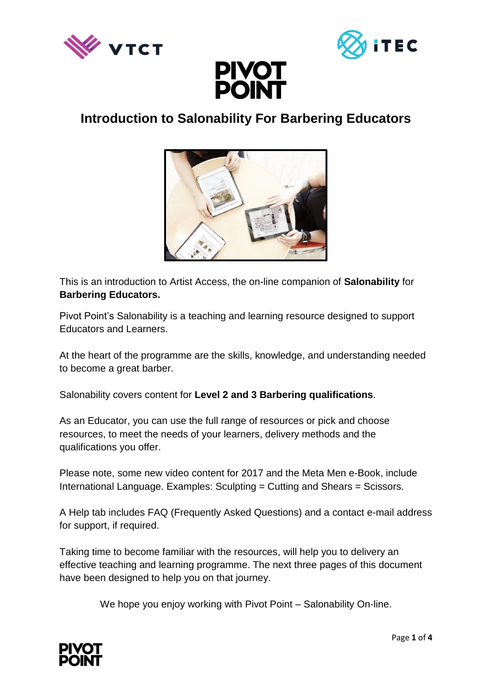





# **Introduction to Salonability For Barbering Educators**



This is an introduction to Artist Access, the on-line companion of **Salonability** for **Barbering Educators.** 

Pivot Point's Salonability is a teaching and learning resource designed to support Educators and Learners.

At the heart of the programme are the skills, knowledge, and understanding needed to become a great barber.

Salonability covers content for **Level 2 and 3 Barbering qualifications**.

As an Educator, you can use the full range of resources or pick and choose resources, to meet the needs of your learners, delivery methods and the qualifications you offer.

Please note, some new video content for 2017 and the Meta Men e-Book, include International Language. Examples: Sculpting = Cutting and Shears = Scissors.

A Help tab includes FAQ (Frequently Asked Questions) and a contact e-mail address for support, if required.

Taking time to become familiar with the resources, will help you to delivery an effective teaching and learning programme. The next three pages of this document have been designed to help you on that journey.

We hope you enjoy working with Pivot Point – Salonability On-line.

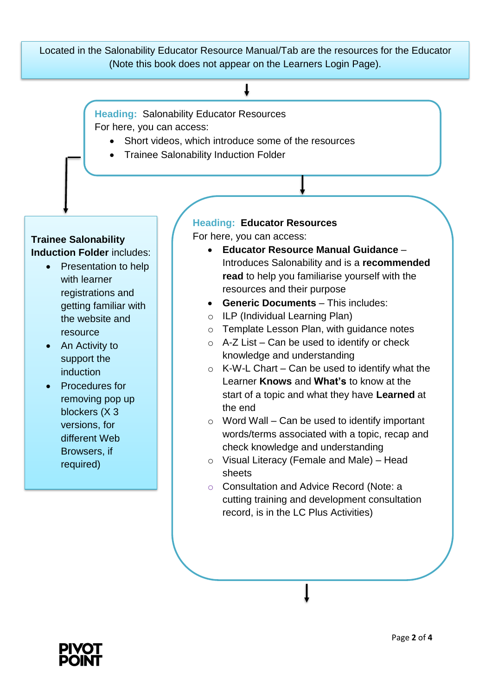Located in the Salonability Educator Resource Manual/Tab are the resources for the Educator (Note this book does not appear on the Learners Login Page).

## T

**Heading:** Salonability Educator Resources For here, you can access:

- Short videos, which introduce some of the resources
- Trainee Salonability Induction Folder

### **Trainee Salonability Induction Folder** includes:

- Presentation to help with learner registrations and getting familiar with the website and resource
- An Activity to support the induction
- Procedures for removing pop up blockers (X 3 versions, for different Web Browsers, if required)

## **Heading: Educator Resources**

For here, you can access:

- **Educator Resource Manual Guidance**  Introduces Salonability and is a **recommended read** to help you familiarise yourself with the resources and their purpose
- **Generic Documents** This includes:
- o ILP (Individual Learning Plan)
- o Template Lesson Plan, with guidance notes
- $\circ$  A-Z List Can be used to identify or check knowledge and understanding
- $\circ$  K-W-L Chart Can be used to identify what the Learner **Knows** and **What's** to know at the start of a topic and what they have **Learned** at the end
- $\circ$  Word Wall Can be used to identify important words/terms associated with a topic, recap and check knowledge and understanding
- o Visual Literacy (Female and Male) Head sheets
- o Consultation and Advice Record (Note: a cutting training and development consultation record, is in the LC Plus Activities)

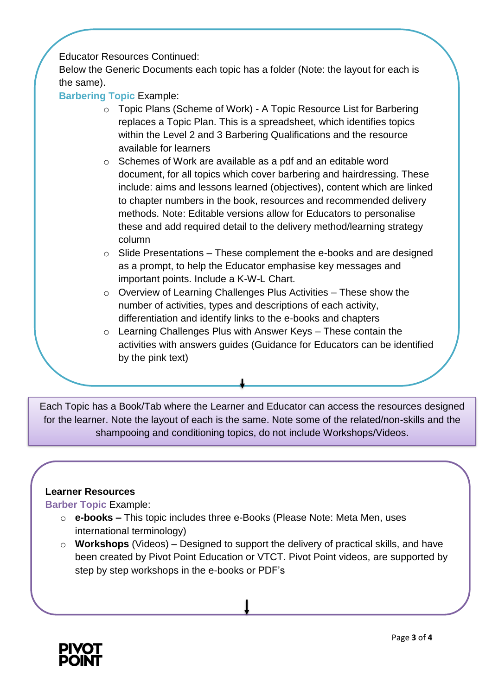Educator Resources Continued:

Below the Generic Documents each topic has a folder (Note: the layout for each is the same).

**Barbering Topic** Example:

- o Topic Plans (Scheme of Work) A Topic Resource List for Barbering replaces a Topic Plan. This is a spreadsheet, which identifies topics within the Level 2 and 3 Barbering Qualifications and the resource available for learners
- o Schemes of Work are available as a pdf and an editable word document, for all topics which cover barbering and hairdressing. These include: aims and lessons learned (objectives), content which are linked to chapter numbers in the book, resources and recommended delivery methods. Note: Editable versions allow for Educators to personalise these and add required detail to the delivery method/learning strategy column
- $\circ$  Slide Presentations These complement the e-books and are designed as a prompt, to help the Educator emphasise key messages and important points. Include a K-W-L Chart.
- o Overview of Learning Challenges Plus Activities These show the number of activities, types and descriptions of each activity, differentiation and identify links to the e-books and chapters
- $\circ$  Learning Challenges Plus with Answer Keys These contain the activities with answers guides (Guidance for Educators can be identified by the pink text)

Each Topic has a Book/Tab where the Learner and Educator can access the resources designed for the learner. Note the layout of each is the same. Note some of the related/non-skills and the shampooing and conditioning topics, do not include Workshops/Videos.

#### **Learner Resources**

**Barber Topic** Example:

o

- o **e-books –** This topic includes three e-Books (Please Note: Meta Men, uses international terminology)
- o **Workshops** (Videos) Designed to support the delivery of practical skills, and have been created by Pivot Point Education or VTCT. Pivot Point videos, are supported by step by step workshops in the e-books or PDF's